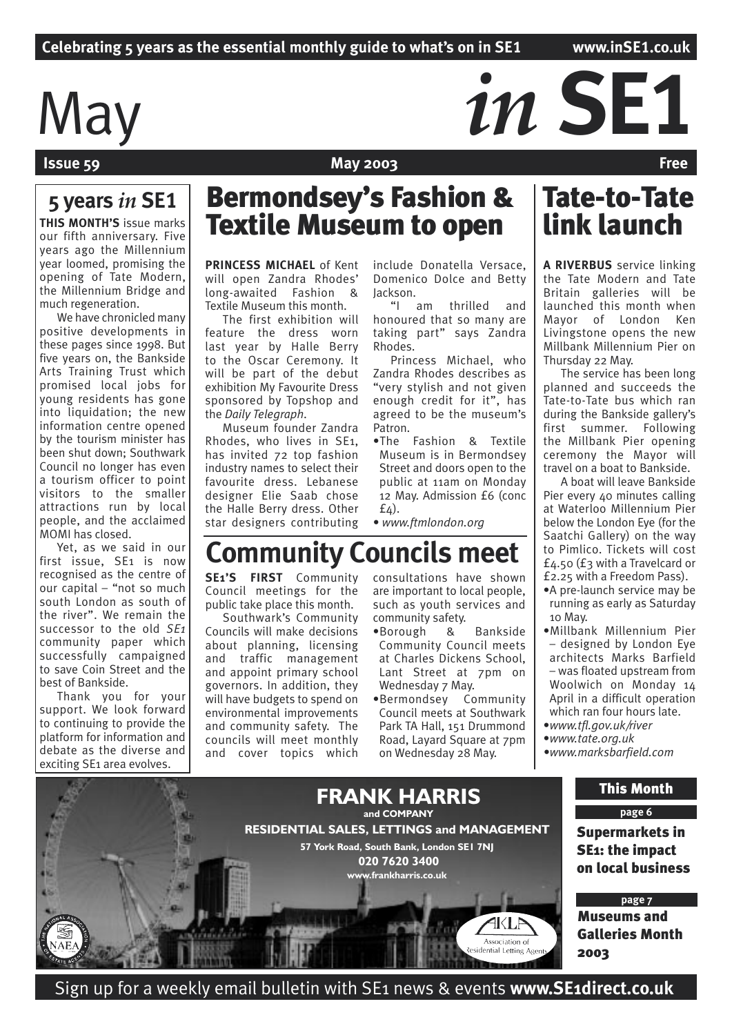# May *in SE1*

# **Issue 59 The Contract of the Contract Oriental May 2003 Free**

# **5 years** *in* **SE1**

**THIS MONTH'S** issue marks our fifth anniversary. Five years ago the Millennium year loomed, promising the opening of Tate Modern, the Millennium Bridge and much regeneration.

We have chronicled many positive developments in these pages since 1998. But five years on, the Bankside Arts Training Trust which promised local jobs for young residents has gone into liquidation; the new information centre opened by the tourism minister has been shut down; Southwark Council no longer has even a tourism officer to point visitors to the smaller attractions run by local people, and the acclaimed MOMI has closed.

Yet, as we said in our first issue, SE1 is now recognised as the centre of our capital – "not so much south London as south of the river". We remain the successor to the old *SE1*  community paper which successfully campaigned to save Coin Street and the best of Bankside.

Thank you for your support. We look forward to continuing to provide the platform for information and debate as the diverse and exciting SE1 area evolves.

# Bermondsey's Fashion & **Textile Museum to open**

**PRINCESS MICHAEL** of Kent will open Zandra Rhodes' long-awaited Fashion & Textile Museum this month.

The first exhibition will feature the dress worn last year by Halle Berry to the Oscar Ceremony. It will be part of the debut exhibition My Favourite Dress sponsored by Topshop and the *Daily Telegraph*.

Museum founder Zandra Rhodes, who lives in SE1, has invited 72 top fashion industry names to select their favourite dress. Lebanese designer Elie Saab chose the Halle Berry dress. Other star designers contributing

**SE1'S FIRST** Community Council meetings for the public take place this month. Southwark's Community Councils will make decisions about planning, licensing and traffic management and appoint primary school governors. In addition, they will have budgets to spend on environmental improvements and community safety. The councils will meet monthly and cover topics which

include Donatella Versace, Domenico Dolce and Betty Jackson.

"I am thrilled and honoured that so many are taking part" says Zandra Rhodes.

Princess Michael, who Zandra Rhodes describes as "very stylish and not given enough credit for it", has agreed to be the museum's Patron.

•The Fashion & Textile Museum is in Bermondsey Street and doors open to the public at 11am on Monday 12 May. Admission £6 (conc  $f(4)$ .

consultations have shown are important to local people, such as youth services and

•Borough & Bankside Community Council meets at Charles Dickens School, Lant Street at 7pm on

•Bermondsey Community Council meets at Southwark Park TA Hall, 151 Drummond Road, Layard Square at 7pm on Wednesday 28 May.

• *www.ftmlondon.org*

community safety.

Wednesday 7 May.

# Tate-to-Tate link launch

**A RIVERBUS** service linking the Tate Modern and Tate Britain galleries will be launched this month when Mayor of London Ken Livingstone opens the new Millbank Millennium Pier on Thursday 22 May.

The service has been long planned and succeeds the Tate-to-Tate bus which ran during the Bankside gallery's first summer. Following the Millbank Pier opening ceremony the Mayor will travel on a boat to Bankside.

A boat will leave Bankside Pier every 40 minutes calling at Waterloo Millennium Pier below the London Eye (for the Saatchi Gallery) on the way to Pimlico. Tickets will cost £4.50 (£3 with a Travelcard or £2.25 with a Freedom Pass).

- •A pre-launch service may be running as early as Saturday 10 May.
- •Millbank Millennium Pier – designed by London Eye architects Marks Barfield – was floated upstream from Woolwich on Monday 14 April in a difficult operation which ran four hours late.
- •*www.tfl.gov.uk/river*
- •*www.tate.org.uk*
- *•www.marksbarfield.com*



**Community Councils meet**

Sign up for a weekly email bulletin with SE1 news & events **www.SE1direct.co.uk**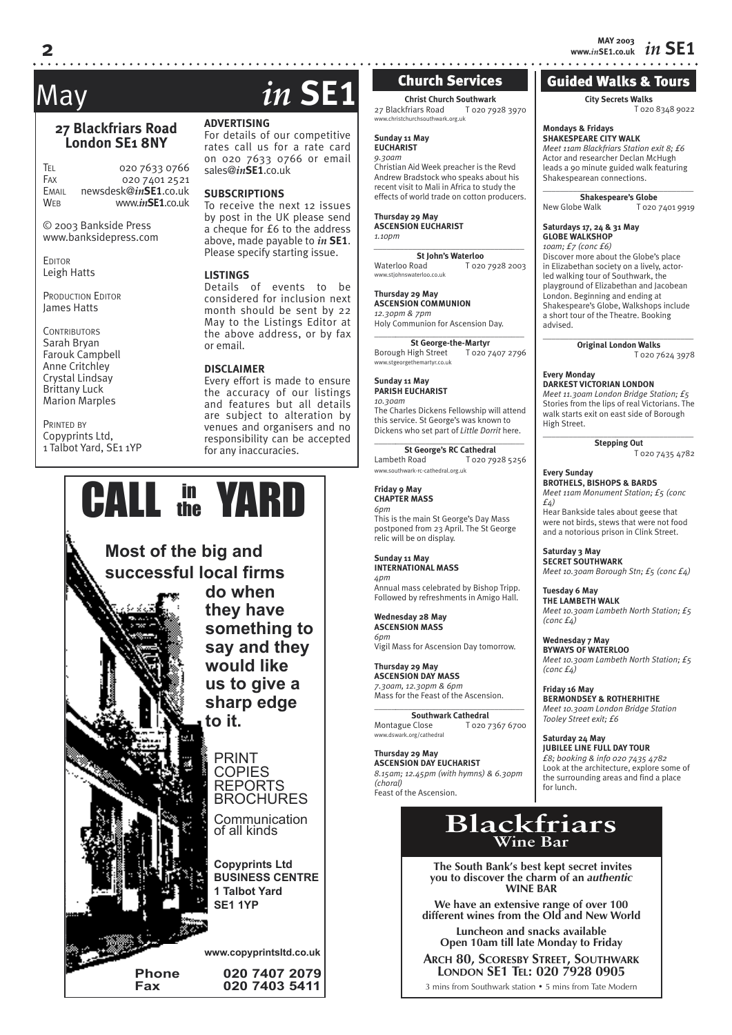# *in* **SE1 MAY 2003 www.***in***SE1.co.uk**

# Guided Walks & Tours

### **City Secrets Walks** T 020 8348 9022

# **Mondays & Fridays**

**SHAKESPEARE CITY WALK** *Meet 11am Blackfriars Station exit 8; £6* Actor and researcher Declan McHugh leads a 90 minute guided walk featuring Shakespearean connections.  $\_$ 

**Shakespeare's Globe** New Globe Walk T 020 7401 9919

### **Saturdays 17, 24 & 31 May GLOBE WALKSHOP**

*10am; £7 (conc £6)* Discover more about the Globe's place in Elizabethan society on a lively, actorled walking tour of Southwark, the playground of Elizabethan and Jacobean London. Beginning and ending at Shakespeare's Globe, Walkshops include a short tour of the Theatre. Booking advised.

 $\_$ 

**Original London Walks** T 020 7624 3978

**Every Monday DARKEST VICTORIAN LONDON** *Meet 11.30am London Bridge Station; £5* Stories from the lips of real Victorians. The walk starts exit on east side of Borough

High Street. \_\_\_\_\_\_\_\_\_\_\_\_\_\_\_\_\_\_\_\_\_\_\_\_\_\_\_\_\_\_\_\_\_\_\_ **Stepping Out**

T 020 7435 4782

**Every Sunday BROTHELS, BISHOPS & BARDS** *Meet 11am Monument Station; £5 (conc £4)* Hear Bankside tales about geese that were not birds, stews that were not food

and a notorious prison in Clink Street. **Saturday 3 May**

**SECRET SOUTHWARK** *Meet 10.30am Borough Stn; £5 (conc £4)*

**Tuesday 6 May THE LAMBETH WALK** *Meet 10.30am Lambeth North Station; £5 (conc £4)*

**Wednesday 7 May BYWAYS OF WATERLOO** *Meet 10.30am Lambeth North Station; £5 (conc £4)*

**Friday 16 May BERMONDSEY & ROTHERHITHE** *Meet 10.30am London Bridge Station Tooley Street exit; £6*

**Saturday 24 May**

**JUBILEE LINE FULL DAY TOUR** *£8; booking & info 020 7435 4782* Look at the architecture, explore some of the surrounding areas and find a place for lunch.

# **Blackfriars Wine Bar**

 **The South Bank's best kept secret invites you to discover the charm of an** *authentic* **WINE BAR**

**We have an extensive range of over 100 different wines from the Old and New World**

**Luncheon and snacks available Open 10am till late Monday to Friday**

**ARCH 80, SCORESBY STREET, SOUTHWARK LONDON SE1 TEL: 020 7928 0905**

3 mins from Southwark station • 5 mins from Tate Modern

# **27 Blackfriars Road London SE1 8NY**

TEL 020 7633 0766<br>Fax 020 7401 2521  $020\,7401\,2521$ EMAIL newsdesk@*in***SE1**.co.uk WEB www.*in***SE1**.co.uk

© 2003 Bankside Press www.banksidepress.com

**EDITOR** Leigh Hatts

PRODUCTION EDITOR James Hatts

**CONTRIBUTORS** Sarah Bryan Farouk Campbell Anne Critchley Crystal Lindsay Brittany Luck Marion Marples

PRINTED BY Copyprints Ltd, 1 Talbot Yard, SE1 1YP

# May *in* **SE1**

For details of our competitive rates call us for a rate card on 020 7633 0766 or email sales@*in***SE1**.co.uk

To receive the next 12 issues Please specify starting issue.

### **LISTINGS**

considered for inclusion next month should be sent by 22 May to the Listings Editor at the above address, or by fax

the accuracy of our listings and features but all details are subject to alteration by venues and organisers and no responsibility can be accepted for any inaccuracies.



**ADVERTISING**

### **SUBSCRIPTIONS**

by post in the UK please send a cheque for £6 to the address above, made payable to *in* **SE1**.

Details of events to be or email.

### **DISCLAIMER**

Every effort is made to ensure

### Holy Communion for Ascension Day. \_\_\_\_\_*\_\_\_\_\_\_\_\_\_\_\_\_\_\_\_\_\_\_\_\_\_\_\_\_\_\_\_\_\_\_* **St George-the-Martyr** Borough High Street T 020 7407 2796 www.stgeorgethe **Sunday 11 May PARISH EUCHARIST** *10.30am* The Charles Dickens Fellowship will attend this service. St George's was known to Dickens who set part of *Little Dorrit* here.

\_\_\_\_\_*\_\_\_\_\_\_\_\_\_\_\_\_\_\_\_\_\_\_\_\_\_\_\_\_\_\_\_\_\_\_* **St George's RC Cathedral**<br>Lambeth Road<br>T 020.79 T 020 7928 5256 www.southwark-rc-cathedral.org.uk

**Christ Church Southwark**<br>Chriars Road T 020 7928 3970

Church Services

Christian Aid Week preacher is the Revd Andrew Bradstock who speaks about his recent visit to Mali in Africa to study the effects of world trade on cotton producers.

*\_\_\_\_\_\_\_\_\_\_\_\_\_\_\_\_\_\_\_\_\_\_\_\_\_\_\_\_\_\_\_\_\_\_\_* 

T 020 7928 2003

**St John's Waterloo**<br>Waterloo Road To20

waterloo.co.uk

27 Blackfriars Road z / Diackfrial Silvau

**Sunday 11 May EUCHARIST** *9.30am*

**Thursday 29 May ASCENSION EUCHARIST**

**Thursday 29 May ASCENSION COMMUNION** *12.30pm & 7pm*

*1.10pm*

**Friday 9 May CHAPTER MASS** *6pm* 

This is the main St George's Day Mass postponed from 23 April. The St George relic will be on display.

**Sunday 11 May INTERNATIONAL MASS** *4pm*  Annual mass celebrated by Bishop Tripp.

Followed by refreshments in Amigo Hall. **Wednesday 28 May ASCENSION MASS**

*6pm* Vigil Mass for Ascension Day tomorrow.

**Thursday 29 May ASCENSION DAY MASS** *7.30am, 12.30pm & 6pm* Mass for the Feast of the Ascension.

\_\_\_\_\_*\_\_\_\_\_\_\_\_\_\_\_\_\_\_\_\_\_\_\_\_\_\_\_\_\_\_\_\_\_\_* **Southwark Cathedral**<br>**Close I** 020 7367 6700 Montague Close .<br>rk.org/cathedral

**Thursday 29 May ASCENSION DAY EUCHARIST** *8.15am; 12.45pm (with hymns) & 6.30pm (choral)* Feast of the Ascension.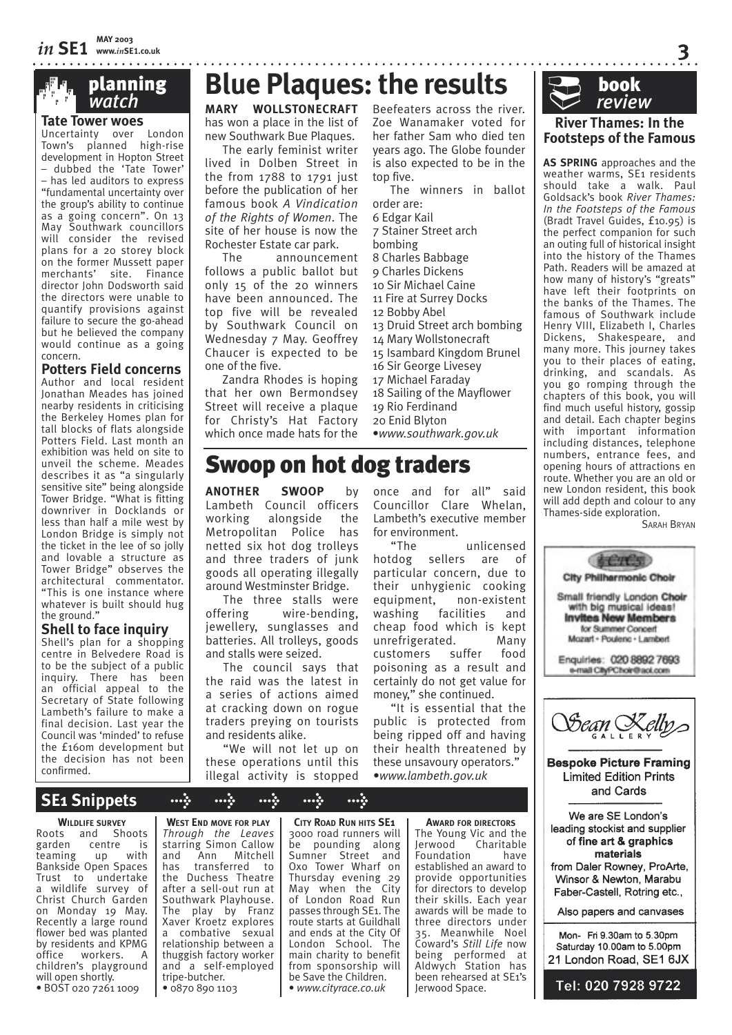**Tate Tower woes** Uncertainty over London Town's planned high-rise development in Hopton Street – dubbed the 'Tate Tower' – has led auditors to express "fundamental uncertainty over the group's ability to continue as a going concern". On 13 May Southwark councillors will consider the revised plans for a 20 storey block on the former Mussett paper merchants' site. Finance director John Dodsworth said the directors were unable to quantify provisions against failure to secure the go-ahead but he believed the company would continue as a going concern.

# **Potters Field concerns**

Author and local resident Jonathan Meades has joined nearby residents in criticising the Berkeley Homes plan for tall blocks of flats alongside Potters Field. Last month an exhibition was held on site to unveil the scheme. Meades describes it as "a singularly sensitive site" being alongside Tower Bridge. "What is fitting downriver in Docklands or less than half a mile west by London Bridge is simply not the ticket in the lee of so jolly and lovable a structure as Tower Bridge" observes the architectural commentator. "This is one instance where whatever is built should hug the ground."

# **Shell to face inquiry**

Shell's plan for a shopping centre in Belvedere Road is to be the subject of a public inquiry. There has been an official appeal to the Secretary of State following Lambeth's failure to make a final decision. Last year the Council was 'minded' to refuse the £160m development but the decision has not been confirmed.

# **FIFE PLANNING Blue Plaques: the results**

has won a place in the list of new Southwark Bue Plaques.

The early feminist writer lived in Dolben Street in the from 1788 to 1791 just before the publication of her famous book *A Vindication of the Rights of Women*. The site of her house is now the Rochester Estate car park.

The announcement follows a public ballot but only 15 of the 20 winners have been announced. The top five will be revealed by Southwark Council on Wednesday 7 May. Geoffrey Chaucer is expected to be one of the five.

Zandra Rhodes is hoping that her own Bermondsey Street will receive a plaque for Christy's Hat Factory which once made hats for the

MARY WOLLSTONECRAFT Beefeaters across the river. Zoe Wanamaker voted for her father Sam who died ten years ago. The Globe founder is also expected to be in the top five.

> The winners in ballot order are: 6 Edgar Kail 7 Stainer Street arch bombing 8 Charles Babbage 9 Charles Dickens 10 Sir Michael Caine 11 Fire at Surrey Docks 12 Bobby Abel 13 Druid Street arch bombing 14 Mary Wollstonecraft 15 Isambard Kingdom Brunel 16 Sir George Livesey 17 Michael Faraday 18 Sailing of the Mayflower 19 Rio Ferdinand 20 Enid Blyton

•*www.southwark.gov.uk*

# Swoop on hot dog traders

**ANOTHER SWOOP** by Lambeth Council officers<br>working alongside the working alongside Metropolitan Police has netted six hot dog trolleys and three traders of junk goods all operating illegally around Westminster Bridge.

The three stalls were offering wire-bending, jewellery, sunglasses and batteries. All trolleys, goods and stalls were seized.

The council says that the raid was the latest in a series of actions aimed at cracking down on rogue traders preying on tourists and residents alike.

"We will not let up on these operations until this illegal activity is stopped once and for all" said Councillor Clare Whelan, Lambeth's executive member for environment.

"The unlicensed hotdog sellers are of particular concern, due to their unhygienic cooking equipment, non-existent washing facilities and cheap food which is kept unrefrigerated. Many customers suffer food poisoning as a result and certainly do not get value for money," she continued.

"It is essential that the public is protected from being ripped off and having their health threatened by these unsavoury operators." •*www.lambeth.gov.uk*



## **River Thames: In the Footsteps of the Famous**

**3**

**AS SPRING** approaches and the weather warms, SE<sub>1</sub> residents should take a walk. Paul Goldsack's book *River Thames: In the Footsteps of the Famous* (Bradt Travel Guides, £10.95) is the perfect companion for such an outing full of historical insight into the history of the Thames Path. Readers will be amazed at how many of history's "greats" have left their footprints on the banks of the Thames. The famous of Southwark include Henry VIII, Elizabeth I, Charles Dickens, Shakespeare, and many more. This journey takes you to their places of eating, drinking, and scandals. As you go romping through the chapters of this book, you will find much useful history, gossip and detail. Each chapter begins with important information including distances, telephone numbers, entrance fees, and opening hours of attractions en route. Whether you are an old or new London resident, this book will add depth and colour to any Thames-side exploration.

SARAH BRYAN



# **SE1 Snippets > > > > >**

### **WILDLIFE SURVEY**

Roots and Shoots<br>garden centre is centre is<br>up with teaming Bankside Open Spaces Trust to undertake a wildlife survey of Christ Church Garden on Monday 19 May. Recently a large round flower bed was planted by residents and KPMG office workers. A children's playground will open shortly. • BOST 020 7261 1009

**WEST END MOVE FOR PLAY** *Through the Leaves* starring Simon Callow<br>and Ann Mitchell and Ann Mitchell<br>has transferred to transferred to the Duchess Theatre after a sell-out run at Southwark Playhouse. The play by Franz Xaver Kroetz explores a combative sexual relationship between a thuggish factory worker and a self-employed tripe-butcher. • 0870 890 1103

**CITY ROAD RUN HITS SE1** 3000 road runners will be pounding along Sumner Street and Oxo Tower Wharf on Thursday evening 29 May when the City of London Road Run passes through SE1. The route starts at Guildhall and ends at the City Of London School. The main charity to benefit from sponsorship will be Save the Children. • *www.cityrace.co.uk*

The Young Vic and the<br>Jerwood Charitable Charitable<br>have Foundation established an award to provide opportunities for directors to develop their skills. Each year

Jerwood Space.

**AWARD FOR DIRECTORS**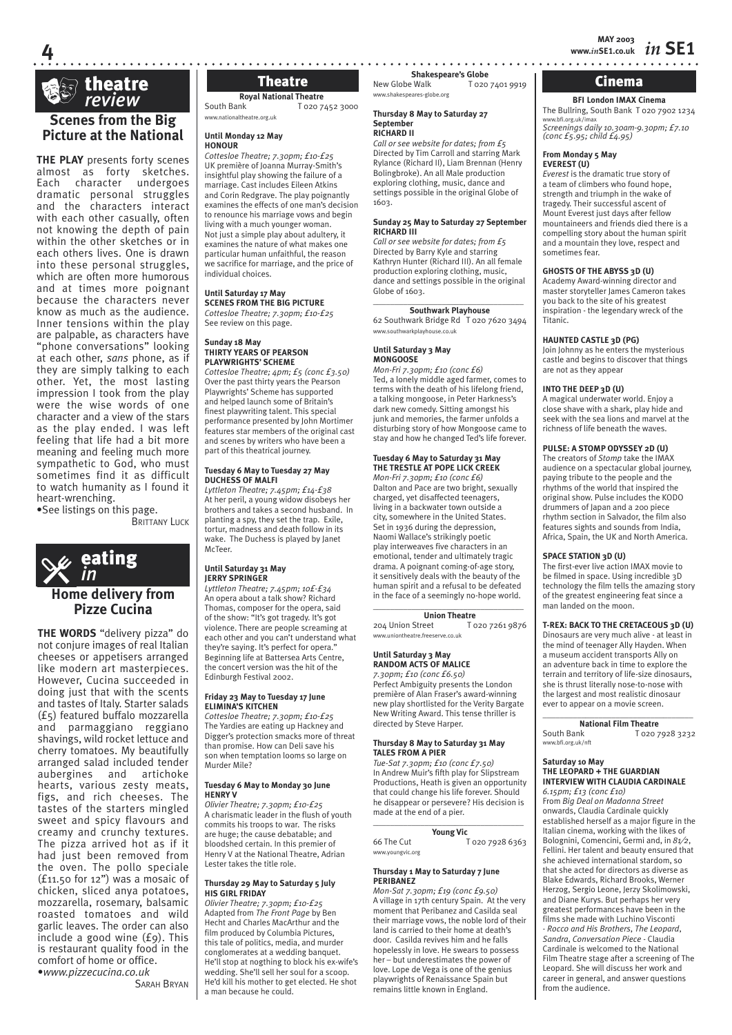

**4**

# **Scenes from the Big Picture at the National**

**THE PLAY** presents forty scenes almost as forty sketches. character undergoes dramatic personal struggles and the characters interact with each other casually, often not knowing the depth of pain within the other sketches or in each others lives. One is drawn into these personal struggles, which are often more humorous and at times more poignant because the characters never know as much as the audience. Inner tensions within the play are palpable, as characters have "phone conversations" looking at each other, *sans* phone, as if they are simply talking to each other. Yet, the most lasting impression I took from the play were the wise words of one character and a view of the stars as the play ended. I was left feeling that life had a bit more meaning and feeling much more sympathetic to God, who must sometimes find it as difficult to watch humanity as I found it heart-wrenching.

•See listings on this page.

BRITTANY LUCK



**THE WORDS** "delivery pizza" do not conjure images of real Italian cheeses or appetisers arranged like modern art masterpieces. However, Cucina succeeded in doing just that with the scents and tastes of Italy. Starter salads (£5) featured buffalo mozzarella and parmaggiano reggiano shavings, wild rocket lettuce and cherry tomatoes. My beautifully arranged salad included tender aubergines and artichoke hearts, various zesty meats, figs, and rich cheeses. The tastes of the starters mingled sweet and spicy flavours and creamy and crunchy textures. The pizza arrived hot as if it had just been removed from the oven. The pollo speciale (£11.50 for 12") was a mosaic of chicken, sliced anya potatoes, mozzarella, rosemary, balsamic roasted tomatoes and wild garlic leaves. The order can also include a good wine (£9). This is restaurant quality food in the comfort of home or office. •*www.pizzecucina.co.uk*

SARAH BRYAN

**Royal National Theatre**<br>Fozo 7. T 020 7452 3000 www.nationaltheatre.org.uk

### **Until Monday 12 May HONOUR**

*Cottesloe Theatre; 7.30pm; £10-£25* UK première of Joanna Murray-Smith's insightful play showing the failure of a marriage. Cast includes Eileen Atkins and Corin Redgrave. The play poignantly examines the effects of one man's decision to renounce his marriage vows and begin living with a much younger woman. Not just a simple play about adultery, it examines the nature of what makes one particular human unfaithful, the reason we sacrifice for marriage, and the price of individual choices.

### **Until Saturday 17 May**

**SCENES FROM THE BIG PICTURE** *Cottesloe Theatre; 7.30pm; £10-£25* See review on this page.

### **Sunday 18 May THIRTY YEARS OF PEARSON PLAYWRIGHTS' SCHEME**

*Cottesloe Theatre; 4pm; £5 (conc £3.50)* Over the past thirty years the Pearson Playwrights' Scheme has supported and helped launch some of Britain's finest playwriting talent. This special performance presented by John Mortimer features star members of the original cast and scenes by writers who have been a part of this theatrical journey.

### **Tuesday 6 May to Tuesday 27 May DUCHESS OF MALFI**

*Lyttleton Theatre; 7.45pm; £14-£38* At her peril, a young widow disobeys her brothers and takes a second husband. In planting a spy, they set the trap. Exile, tortur, madness and death follow in its wake. The Duchess is played by Janet McTeer.

### **Until Saturday 31 May JERRY SPRINGER**

*Lyttleton Theatre; 7.45pm; 10£-£34* An opera about a talk show? Richard Thomas, composer for the opera, said of the show: "It's got tragedy. It's got violence. There are people screaming at each other and you can't understand what they're saying. It's perfect for opera." Beginning life at Battersea Arts Centre, the concert version was the hit of the Edinburgh Festival 2002.

### **Friday 23 May to Tuesday 17 June ELIMINA'S KITCHEN**

*Cottesloe Theatre; 7.30pm; £10-£25* The Yardies are eating up Hackney and Digger's protection smacks more of threat than promise. How can Deli save his son when temptation looms so large on Murder Mile?

### **Tuesday 6 May to Monday 30 June HENRY V**

*Olivier Theatre; 7.30pm; £10-£25* A charismatic leader in the flush of youth commits his troops to war. The risks are huge; the cause debatable; and bloodshed certain. In this premier of Henry V at the National Theatre, Adrian Lester takes the title role.

### **Thursday 29 May to Saturday 5 July HIS GIRL FRIDAY**

*Olivier Theatre; 7.30pm; £10-£25* Adapted from *The Front Page* by Ben Hecht and Charles MacArthur and the film produced by Columbia Pictures. this tale of politics, media, and murder conglomerates at a wedding banquet. He'll stop at nogthing to block his ex-wife's wedding. She'll sell her soul for a scoop. He'd kill his mother to get elected. He shot a man because he could.

**Shakespeare's Globe**<br>Tozo: Tozo

T 020 7401 9919 www.shakespeares-globe.org **Theatre**  $New Globe$   $New Globe$   $Nalk$   $T ozo 7401 9919$   $Tow 7401 9919$   $Tow 7401 9919$   $Tow 7401 9919$ 

### **Thursday 8 May to Saturday 27 September RICHARD II**

*Call or see website for dates; from £5* Directed by Tim Carroll and starring Mark Rylance (Richard II), Liam Brennan (Henry Bolingbroke). An all Male production exploring clothing, music, dance and settings possible in the original Globe of 1603.

### **Sunday 25 May to Saturday 27 September RICHARD III**

*Call or see website for dates; from £5* Directed by Barry Kyle and starring Kathryn Hunter (Richard III). An all female production exploring clothing, music, dance and settings possible in the original Globe of 1603.

### $\overline{\phantom{a}}$  , and the set of the set of the set of the set of the set of the set of the set of the set of the set of the set of the set of the set of the set of the set of the set of the set of the set of the set of the s **Southwark Playhouse**

62 Southwark Bridge Rd T 020 7620 3494 www.southwarkplayhouse.co.uk

### **Until Saturday 3 May MONGOOSE**

*Mon-Fri 7.30pm; £10 (conc £6)* Ted, a lonely middle aged farmer, comes to terms with the death of his lifelong friend, a talking mongoose, in Peter Harkness's dark new comedy. Sitting amongst his junk and memories, the farmer unfolds a disturbing story of how Mongoose came to stay and how he changed Ted's life forever.

### **Tuesday 6 May to Saturday 31 May THE TRESTLE AT POPE LICK CREEK**

*Mon-Fri 7.30pm; £10 (conc £6)* Dalton and Pace are two bright, sexually charged, yet disaffected teenagers, living in a backwater town outside a city, somewhere in the United States. Set in 1936 during the depression, Naomi Wallace's strikingly poetic play interweaves five characters in an emotional, tender and ultimately tragic drama. A poignant coming-of-age story, it sensitively deals with the beauty of the human spirit and a refusal to be defeated in the face of a seemingly no-hope world.

### $\_$ **Union Theatre**

204 Union Street T 020 7261 9876 www.uniontheatre.freeserve.co.uk

### **Until Saturday 3 May RANDOM ACTS OF MALICE**

*7.30pm; £10 (conc £6.50)* Perfect Ambiguity presents the London première of Alan Fraser's award-winning new play shortlisted for the Verity Bargate New Writing Award. This tense thriller is directed by Steve Harper.

### **Thursday 8 May to Saturday 31 May TALES FROM A PIER**

*Tue-Sat 7.30pm; £10 (conc £7.50)* In Andrew Muir's fifth play for Slipstream Productions, Heath is given an opportunity that could change his life forever. Should he disappear or persevere? His decision is made at the end of a pier.

### $\overline{\phantom{a}}$  , and the set of the set of the set of the set of the set of the set of the set of the set of the set of the set of the set of the set of the set of the set of the set of the set of the set of the set of the s **Young Vic**

66 The Cut T 020 7928 6363 www.youngvic.org

# **Thursday 1 May to Saturday 7 June PERIBANEZ**

*Mon-Sat 7.30pm; £19 (conc £9.50)* A village in 17th century Spain. At the very moment that Peribanez and Casilda seal their marriage vows, the noble lord of their land is carried to their home at death's door. Casilda revives him and he falls hopelessly in love. He swears to possess her – but underestimates the power of love. Lope de Vega is one of the genius playwrights of Renaissance Spain but remains little known in England.

**BFI London IMAX Cinema** The Bullring, South Bank T 020 7902 1234 www.bfi.org.uk/imax *Screenings daily 10.30am-9.30pm; £7.10 (conc £5.95; child £4.95)*

### **From Monday 5 May**

**EVEREST (U)** *Everest* is the dramatic true story of a team of climbers who found hope, strength and triumph in the wake of tragedy. Their successful ascent of Mount Everest just days after fellow mountaineers and friends died there is a compelling story about the human spirit and a mountain they love, respect and sometimes fear.

### **GHOSTS OF THE ABYSS 3D (U)**

Academy Award-winning director and master storyteller James Cameron takes you back to the site of his greatest inspiration - the legendary wreck of the Titanic.

### **HAUNTED CASTLE 3D (PG)**

Join Johnny as he enters the mysterious castle and begins to discover that things are not as they appear

### **INTO THE DEEP 3D (U)**

A magical underwater world. Enjoy a close shave with a shark, play hide and seek with the sea lions and marvel at the richness of life beneath the waves.

### **PULSE: A STOMP ODYSSEY 2D (U)**

The creators of *Stomp* take the IMAX audience on a spectacular global journey, paying tribute to the people and the rhythms of the world that inspired the original show. Pulse includes the KODO drummers of Japan and a 200 piece rhythm section in Salvador, the film also features sights and sounds from India, Africa, Spain, the UK and North America.

### **SPACE STATION 3D (U)**

The first-ever live action IMAX movie to be filmed in space. Using incredible 3D technology the film tells the amazing story of the greatest engineering feat since a man landed on the moon.

### **T-REX: BACK TO THE CRETACEOUS 3D (U)**

Dinosaurs are very much alive - at least in the mind of teenager Ally Hayden. When a museum accident transports Ally on an adventure back in time to explore the terrain and territory of life-size dinosaurs, she is thrust literally nose-to-nose with the largest and most realistic dinosaur ever to appear on a movie screen.

 $\_$ **National Film Theatre**<br> **National Film Tozo** T 020 7928 3232 www.bfi.org.uk/nft

### **Saturday 10 May THE LEOPARD + THE GUARDIAN INTERVIEW WITH CLAUDIA CARDINALE**

*6.15pm; £13 (conc £10)* From *Big Deal on Madonna Street*  onwards, Claudia Cardinale quickly established herself as a major figure in the Italian cinema, working with the likes of Bolognini, Comencini, Germi and, in *81⁄2*, Fellini. Her talent and beauty ensured that she achieved international stardom, so that she acted for directors as diverse as Blake Edwards, Richard Brooks, Werner Herzog, Sergio Leone, Jerzy Skolimowski, and Diane Kurys. But perhaps her very greatest performances have been in the films she made with Luchino Visconti - *Rocco and His Brothers*, *The Leopard*, *Sandra*, *Conversation Piece* - Claudia Cardinale is welcomed to the National Film Theatre stage after a screening of The Leopard. She will discuss her work and career in general, and answer questions from the audience.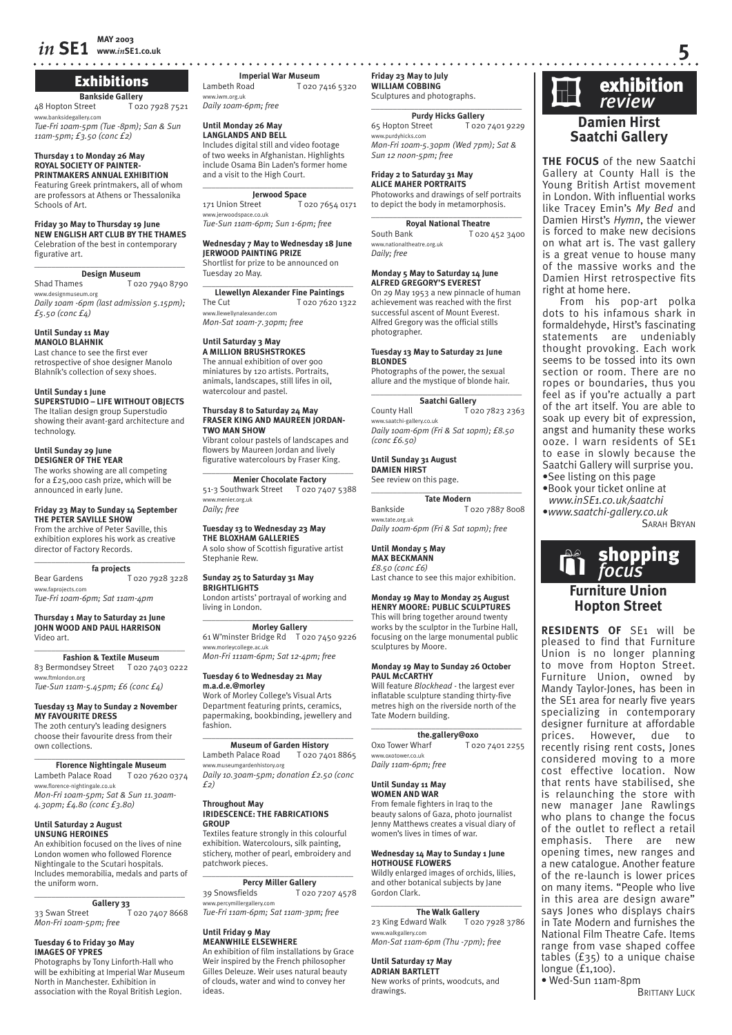# **Exhibitions**

**Bankside Gallery**<br>treet 1020 7928 7521 48 Hopton Street degallery.com

*Tue-Fri 10am-5pm (Tue -8pm); San & Sun 11am-5pm; £3.50 (conc £2)*

### **Thursday 1 to Monday 26 May ROYAL SOCIETY OF PAINTER-PRINTMAKERS ANNUAL EXHIBITION**

Featuring Greek printmakers, all of whom are professors at Athens or Thessalonika Schools of Art.

### **Friday 30 May to Thursday 19 June NEW ENGLISH ART CLUB BY THE THAMES**

Celebration of the best in contemporary figurative art.  $\overline{\phantom{a}}$  , where  $\overline{\phantom{a}}$  , where  $\overline{\phantom{a}}$  , where  $\overline{\phantom{a}}$ 

**Design Museum**<br>Shad Thames To<sub>2</sub> T 020 7940 8790 www.designmuseum.org *Daily 10am -6pm (last admission 5.15pm); £5.50 (conc £4)*

**Until Sunday 11 May MANOLO BLAHNIK**

Last chance to see the first ever retrospective of shoe designer Manolo Blahník's collection of sexy shoes.

**Until Sunday 1 June SUPERSTUDIO – LIFE WITHOUT OBJECTS** The Italian design group Superstudio showing their avant-gard architecture and technology.

### **Until Sunday 29 June DESIGNER OF THE YEAR**

The works showing are all competing for a £25,000 cash prize, which will be announced in early June.

### **Friday 23 May to Sunday 14 September THE PETER SAVILLE SHOW**

From the archive of Peter Saville, this exhibition explores his work as creative director of Factory Records. \_\_\_\_\_\_\_\_\_\_\_\_\_\_\_\_\_\_\_\_\_\_\_\_\_\_\_\_\_\_\_\_\_\_\_

### **fa projects**

Bear Gardens T 020 7928 3228 www.faprojects.com *Tue-Fri 10am-6pm; Sat 11am-4pm*

### **Thursday 1 May to Saturday 21 June JOHN WOOD AND PAUL HARRISON** Video art.

\_\_\_\_\_\_\_\_\_\_\_\_\_\_\_\_\_\_\_\_\_\_\_\_\_\_\_\_\_\_\_\_\_\_\_ **Fashion & Textile Museum** 83 Bermondsey Street T 020 7403 0222 www.ftmlondon.org *Tue-Sun 11am-5.45pm; £6 (conc £4)*

# **Tuesday 13 May to Sunday 2 November**

**MY FAVOURITE DRESS** The 20th century's leading designers choose their favourite dress from their

### own collections.  $\overline{\phantom{a}}$  , and the set of the set of the set of the set of the set of the set of the set of the set of the set of the set of the set of the set of the set of the set of the set of the set of the set of the set of the s

**Florence Nightingale Museum** Lambeth Palace Road T 020 7620 0374 w.florence-nightingale.co.uk *Mon-Fri 10am-5pm; Sat & Sun 11.30am-4.30pm; £4.80 (conc £3.80)* 

### **Until Saturday 2 August UNSUNG HEROINES**

An exhibition focused on the lives of nine London women who followed Florence Nightingale to the Scutari hospitals. Includes memorabilia, medals and parts of the uniform worn.

# \_\_\_\_\_\_\_\_\_\_\_\_\_\_\_\_\_\_\_\_\_\_\_\_\_\_\_\_\_\_\_\_\_\_\_

Gallery 33<br>33 Swan Street T T 020 7407 8668 *Mon-Fri 10am-5pm; free*

### **Tuesday 6 to Friday 30 May IMAGES OF YPRES**

Photographs by Tony Linforth-Hall who will be exhibiting at Imperial War Museum North in Manchester. Exhibition in association with the Royal British Legion.

**Imperial War Museum**<br>**I** dimbeth Road **T** 0207 T 020 7416 5320 www.iwm.org.uk *Daily 10am-6pm; free* 

## **Until Monday 26 May**

**LANGLANDS AND BELL** Includes digital still and video footage of two weeks in Afghanistan. Highlights include Osama Bin Laden's former home and a visit to the High Court.

### $\_$ **Jerwood Space**<br>171 Union Street To

171 Union Street T 020 7654 0171 ww.<br>Shace.co.uk *Tue-Sun 11am-6pm; Sun 1-6pm; free*

### **Wednesday 7 May to Wednesday 18 June JERWOOD PAINTING PRIZE**

Shortlist for prize to be announced on Tuesday 20 May. \_\_\_\_\_\_\_\_\_\_\_\_\_\_\_\_\_\_\_\_\_\_\_\_\_\_\_\_\_\_\_\_\_\_\_

**Llewellyn Alexander Fine Paintings** The Cut T 020 7620 1322

www.llewellynalexander.com

# *Mon-Sat 10am-7.30pm; free*

### **Until Saturday 3 May A MILLION BRUSHSTROKES**

The annual exhibition of over 900 miniatures by 120 artists. Portraits, animals, landscapes, still lifes in oil, watercolour and pastel.

### **Thursday 8 to Saturday 24 May FRASER KING AND MAUREEN JORDAN-TWO MAN SHOW**

Vibrant colour pastels of landscapes and flowers by Maureen Jordan and lively figurative watercolours by Fraser King.

 $\overline{\phantom{a}}$  , and the set of the set of the set of the set of the set of the set of the set of the set of the set of the set of the set of the set of the set of the set of the set of the set of the set of the set of the s **Menier Chocolate Factory** 51-3 Southwark Street T 020 7407 5388 www.menier.org.uk *Daily; free*

## **Tuesday 13 to Wednesday 23 May**

**THE BLOXHAM GALLERIES** A solo show of Scottish figurative artist Stephanie Rew.

### **Sunday 25 to Saturday 31 May BRIGHTLIGHTS**

London artists' portrayal of working and living in London.

### $\overline{\phantom{a}}$  , and the set of the set of the set of the set of the set of the set of the set of the set of the set of the set of the set of the set of the set of the set of the set of the set of the set of the set of the s **Morley Gallery** 61 W'minster Bridge Rd T 020 7450 9226

www.morleycollege.ac.uk *Mon-Fri 111am-6pm; Sat 12-4pm; free*

# **Tuesday 6 to Wednesday 21 May m.a.d.e.@morley** Work of Morley College's Visual Arts

Department featuring prints, ceramics, papermaking, bookbinding, jewellery and fashion.

### $\overline{\phantom{a}}$  , and the set of the set of the set of the set of the set of the set of the set of the set of the set of the set of the set of the set of the set of the set of the set of the set of the set of the set of the s **Museum of Garden History**

Lambeth Palace Road To20 7401 8865 www.museumgardenhistory.org *Daily 10.30am-5pm; donation £2.50 (conc £2)*

### **Throughout May IRIDESCENCE: THE FABRICATIONS GROUP**

Textiles feature strongly in this colourful exhibition. Watercolours, silk painting, stichery, mother of pearl, embroidery and patchwork pieces.

 $\_$ **Percy Miller Gallery**<br>39 Snowsfields T 020 T 020 7207 4578 www.percymillergallery.com

*Tue-Fri 11am-6pm; Sat 11am-3pm; free*

### **Until Friday 9 May MEANWHILE ELSEWHERE**

An exhibition of film installations by Grace Weir inspired by the French philosopher Gilles Deleuze. Weir uses natural beauty of clouds, water and wind to convey her ideas.

### **Friday 23 May to July WILLIAM COBBING** Sculptures and photographs.

 $\overline{\phantom{a}}$  , and the set of the set of the set of the set of the set of the set of the set of the set of the set of the set of the set of the set of the set of the set of the set of the set of the set of the set of the s **Purdy Hicks Gallery**<br>Street **T020 7401 9229** 65 Hopton Street www.purdyhicks.com *Mon-Fri 10am-5.30pm (Wed 7pm); Sat & Sun 12 noon-5pm; free*

### **Friday 2 to Saturday 31 May**

**ALICE MAHER PORTRAITS** Photoworks and drawings of self portraits to depict the body in metamorphosis.

| <b>Royal National Theatre</b> |                |
|-------------------------------|----------------|
| South Bank                    | T 020 452 3400 |
| www.nationaltheatre.org.uk    |                |
| Daily; free                   |                |

### **Monday 5 May to Saturday 14 June ALFRED GREGORY'S EVEREST**

On 29 May 1953 a new pinnacle of human achievement was reached with the first successful ascent of Mount Everest. Alfred Gregory was the official stills photographer.

### **Tuesday 13 May to Saturday 21 June BLONDES**

Photographs of the power, the sexual allure and the mystique of blonde hair.  $\overline{\phantom{a}}$  , and the set of the set of the set of the set of the set of the set of the set of the set of the set of the set of the set of the set of the set of the set of the set of the set of the set of the set of the s

### **Saatchi Gallery** County Hall T 020 7823 2363

www.saatchi-gallery.co.uk *Daily 10am-6pm (Fri & Sat 10pm); £8.50 (conc £6.50)*

### **Until Sunday 31 August**

**DAMIEN HIRST** See review on this page.

 $\_$ **Tate Modern** Bankside T 020 7887 8008 www.tate.org.uk *Daily 10am-6pm (Fri & Sat 10pm); free*

### **Until Monday 5 May MAX BECKMANN**

*£8.50 (conc £6)* Last chance to see this major exhibition.

### **Monday 19 May to Monday 25 August HENRY MOORE: PUBLIC SCULPTURES**

This will bring together around twenty works by the sculptor in the Turbine Hall, focusing on the large monumental public sculptures by Moore.

### **Monday 19 May to Sunday 26 October PAUL McCARTHY**

Will feature *Blockhead* - the largest ever inflatable sculpture standing thirty-five metres high on the riverside north of the Tate Modern building.

 $\_$ **the.gallery@oxo**<br>Oxo Tower Wharf To2 T 020 7401 2255 oxotower.co.uk *Daily 11am-6pm; free*

## **Until Sunday 11 May**

**WOMEN AND WAR** From female fighters in Iraq to the beauty salons of Gaza, photo journalist Jenny Matthews creates a visual diary of women's lives in times of war.

### **Wednesday 14 May to Sunday 1 June HOTHOUSE FLOWERS**

Wildly enlarged images of orchids, lilies, and other botanical subjects by Jane Gordon Clark.

### $\_$ **The Walk Gallery**

23 King Edward Walk T 020 7928 3786 www.walkgallery.com *Mon-Sat 11am-6pm (Thu -7pm); free*

### **Until Saturday 17 May ADRIAN BARTLETT**

New works of prints, woodcuts, and drawings.

# **Damien Hirst Saatchi Gallery Exhibition**<br>*review*

**THE FOCUS** of the new Saatchi Gallery at County Hall is the Young British Artist movement in London. With influential works like Tracey Emin's *My Bed* and Damien Hirst's *Hymn*, the viewer is forced to make new decisions on what art is. The vast gallery is a great venue to house many of the massive works and the Damien Hirst retrospective fits right at home here.

From his pop-art polka dots to his infamous shark in formaldehyde, Hirst's fascinating statements are undeniably thought provoking. Each work seems to be tossed into its own section or room. There are no ropes or boundaries, thus you feel as if you're actually a part of the art itself. You are able to soak up every bit of expression, angst and humanity these works ooze. I warn residents of SE1 to ease in slowly because the Saatchi Gallery will surprise you. •See listing on this page

- •Book your ticket online at
- *www.inSE1.co.uk/saatchi* •*www.saatchi-gallery.co.uk* SARAH BRYAN

**Furniture Union Hopton Street RESIDENTS OF** SE1 will be pleased to find that Furniture Union is no longer planning to move from Hopton Street. Furniture Union, owned by Mandy Taylor-Jones, has been in the SE<sub>1</sub> area for nearly five years specializing in contemporary designer furniture at affordable prices. However, due to recently rising rent costs, Jones considered moving to a more cost effective location. Now that rents have stabilised, she is relaunching the store with new manager Jane Rawlings who plans to change the focus of the outlet to reflect a retail emphasis. There are new opening times, new ranges and a new catalogue. Another feature of the re-launch is lower prices on many items. "People who live in this area are design aware" says Jones who displays chairs in Tate Modern and furnishes the National Film Theatre Cafe. Items range from vase shaped coffee tables  $(f35)$  to a unique chaise

shopping

longue (£1,100). • Wed-Sun 11am-8pm

**BRITTANY LUCK**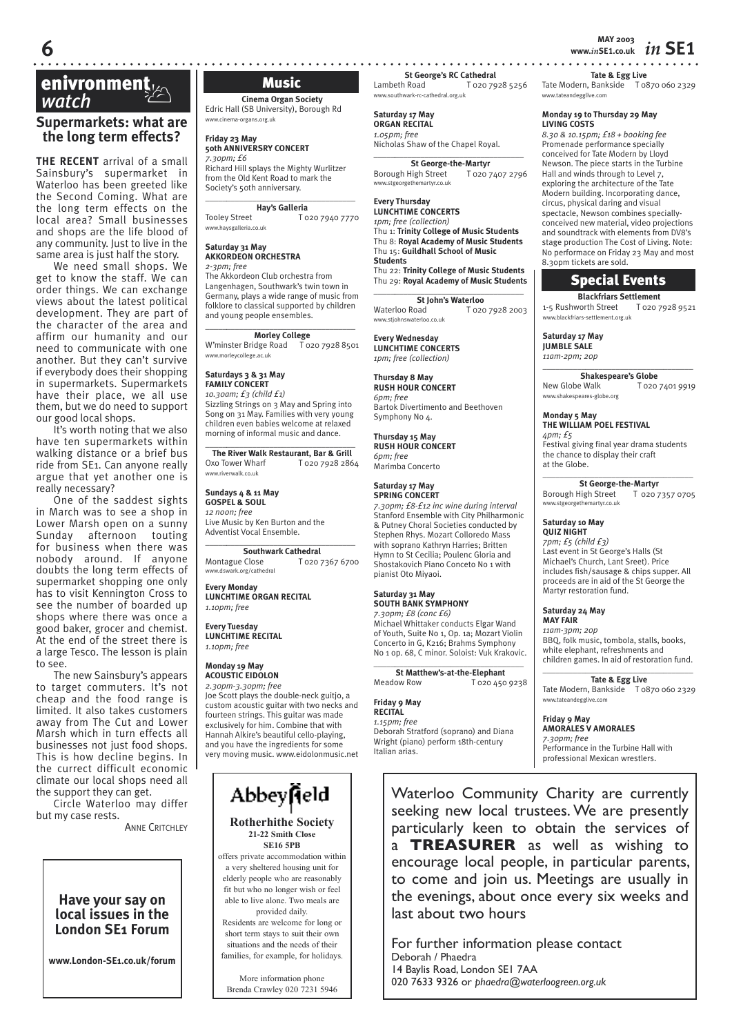# **enivronment**<br> *Watch* Music Music<br>
Music Music Music Music Music Music Music Music Music Music Music Music Music Music Music Music Music Music Music Music Music Music Music Music Music Music Music Music Music Music Music

# **Supermarkets: what are the long term effects?**

**THE RECENT** arrival of a small Sainsbury's supermarket in Waterloo has been greeted like the Second Coming. What are the long term effects on the local area? Small businesses and shops are the life blood of any community. Just to live in the same area is just half the story.

We need small shops. We get to know the staff. We can order things. We can exchange views about the latest political development. They are part of the character of the area and affirm our humanity and our need to communicate with one another. But they can't survive if everybody does their shopping in supermarkets. Supermarkets have their place, we all use them, but we do need to support our good local shops.

It's worth noting that we also have ten supermarkets within walking distance or a brief bus ride from SE1. Can anyone really argue that yet another one is really necessary?

One of the saddest sights in March was to see a shop in Lower Marsh open on a sunny Sunday afternoon touting for business when there was nobody around. If anyone doubts the long term effects of supermarket shopping one only has to visit Kennington Cross to see the number of boarded up shops where there was once a good baker, grocer and chemist. At the end of the street there is a large Tesco. The lesson is plain to see.

The new Sainsbury's appears to target commuters. It's not cheap and the food range is limited. It also takes customers away from The Cut and Lower Marsh which in turn effects all businesses not just food shops. This is how decline begins. In the currect difficult economic climate our local shops need all the support they can get.

Circle Waterloo may differ but my case rests.

**Cinema Organ Society** Edric Hall (SB University), Borough Rd www.cinema-organs.org.uk

**Friday 23 May 50th ANNIVERSRY CONCERT** *7.30pm; £6*

Richard Hill splays the Mighty Wurlitzer from the Old Kent Road to mark the Society's 50th anniversary. \_\_\_\_\_*\_\_\_\_\_\_\_\_\_\_\_\_\_\_\_\_\_\_\_\_\_\_\_\_\_\_\_\_\_\_*

**Hay's Galleria**

Tooley Street T 020 7940 7770 www.haysgalleria.co.uk

### **Saturday 31 May AKKORDEON ORCHESTRA** *2-3pm; free*

The Akkordeon Club orchestra from Langenhagen, Southwark's twin town in Germany, plays a wide range of music from folklore to classical supported by children and young people ensembles.

\_\_\_\_\_*\_\_\_\_\_\_\_\_\_\_\_\_\_\_\_\_\_\_\_\_\_\_\_\_\_\_\_\_\_\_* **Morley College** W'minster Bridge Road T 020 7928 8501 www.morleycollege.ac.uk

### **Saturdays 3 & 31 May**

**FAMILY CONCERT** *10.30am; £3 (child £1)* Sizzling Strings on 3 May and Spring into Song on 31 May. Families with very young children even babies welcome at relaxed morning of informal music and dance.

### \_\_\_\_\_*\_\_\_\_\_\_\_\_\_\_\_\_\_\_\_\_\_\_\_\_\_\_\_\_\_\_\_\_\_\_* **The River Walk Restaurant, Bar & Grill** Oxo Tower Wharf T 020 7928 2864 www.riverwalk.co.uk

**Sundays 4 & 11 May GOSPEL & SOUL** *12 noon; free* 

Live Music by Ken Burton and the Adventist Vocal Ensemble. \_\_\_\_\_*\_\_\_\_\_\_\_\_\_\_\_\_\_\_\_\_\_\_\_\_\_\_\_\_\_\_\_\_\_\_*

**Southwark Cathedral** Montague Close T 020 7367 6700 www.dswark.org/cathedral

**Every Monday LUNCHTIME ORGAN RECITAL** *1.10pm; free*

**Every Tuesday LUNCHTIME RECITAL** *1.10pm; free*

**Monday 19 May ACOUSTIC EIDOLON** *2.30pm-3.30pm; free*

Joe Scott plays the double-neck guitjo, a custom acoustic guitar with two necks and fourteen strings. This guitar was made exclusively for him. Combine that with Hannah Alkire's beautiful cello-playing, and you have the ingredients for some very moving music. www.eidolonmusic.net

# Abbeyneld

**Rotherhithe Society 21-22 Smith Close SE16 5PB**

offers private accommodation within a very sheltered housing unit for elderly people who are reasonably fit but who no longer wish or feel able to live alone. Two meals are provided daily.

Residents are welcome for long or short term stays to suit their own situations and the needs of their families, for example, for holidays.

More information phone Brenda Crawley 020 7231 5946 **St George's RC Cathedral**<br>Lambeth Road T 020 79

www.southwark-rc-cathedral.org.uk

**Saturday 17 May ORGAN RECITAL**

*1.05pm; free* Nicholas Shaw of the Chapel Royal.

\_\_\_\_\_*\_\_\_\_\_\_\_\_\_\_\_\_\_\_\_\_\_\_\_\_\_\_\_\_\_\_\_\_\_\_* **St George-the-Martyr**

Borough High Street T 020 7407 2796<br>www.stgeorgethemartyr.co.uk www.stgeorget

### **Every Thursday LUNCHTIME CONCERTS**

*1pm; free (collection)* Thu 1: **Trinity College of Music Students** Thu 8: **Royal Academy of Music Students** Thu 15: **Guildhall School of Music Students** Thu 22: **Trinity College of Music Students** Thu 29: **Royal Academy of Music Students**

\_\_\_\_\_*\_\_\_\_\_\_\_\_\_\_\_\_\_\_\_\_\_\_\_\_\_\_\_\_\_\_\_\_\_\_* **St John's Waterloo**<br>Waterloo Road To2c T 020 7928 2003 www.stjohnswaterloo.co.uk

**Every Wednesday LUNCHTIME CONCERTS** *1pm; free (collection)*

**Thursday 8 May RUSH HOUR CONCERT** *6pm; free* Bartok Divertimento and Beethoven Symphony No 4.

**Thursday 15 May RUSH HOUR CONCERT** *6pm; free*

Marimba Concerto

### **Saturday 17 May SPRING CONCERT**

*7.30pm; £8-£12 inc wine during interval* Stanford Ensemble with City Philharmonic & Putney Choral Societies conducted by Stephen Rhys. Mozart Colloredo Mass with soprano Kathryn Harries; Britten Hymn to St Cecilia; Poulenc Gloria and Shostakovich Piano Conceto No 1 with pianist Oto Miyaoi.

Michael Whittaker conducts Elgar Wand of Youth, Suite No 1, Op. 1a; Mozart Violin No 1 op. 68, C minor. Soloist: Vuk Krakovic.

**St Matthew's-at-the-Elephant** Meadow Row T 020 450 9238

### **Friday 9 May RECITAL**

### *1.15pm; free*

Deborah Stratford (soprano) and Diana Wright (piano) perform 18th-century Italian arias.

**MAY 2003 6 www.***in***SE1.co.uk** *in* **SE1**

**Tate & Egg Live**

Tate Modern, Bankside T 0870 060 2329 www.tateandegglive.com

### **Monday 19 to Thursday 29 May LIVING COSTS**

*8.30 & 10.15pm; £18 + booking fee* Promenade performance specially conceived for Tate Modern by Lloyd Newson. The piece starts in the Turbine Hall and winds through to Level 7, exploring the architecture of the Tate Modern building. Incorporating dance, circus, physical daring and visual spectacle, Newson combines speciallyconceived new material, video projections and soundtrack with elements from DV8's stage production The Cost of Living. Note: No performace on Friday 23 May and most 8.30pm tickets are sold.

# Special Events

**Blackfriars Settlement**<br>vorth Street T 020 7928 9521 1-5 Rushworth Street www.blackfriars-settlement.org.uk

**Saturday 17 May JUMBLE SALE** *11am-2pm; 20p*

 $\_$ **Shakespeare's Globe** New Globe Walk T 020 7401 9919 www.shakespeares-globe.org

### **Monday 5 May THE WILLIAM POEL FESTIVAL** *4pm; £5* Festival giving final year drama students the chance to display their craft

\_\_\_\_\_\_\_\_\_\_\_\_\_\_\_\_\_\_\_\_\_\_\_\_\_\_\_\_\_\_\_\_\_\_\_ **St George-the-Martyr**<br>High Street T 020 7357 0705 Borough High Street wartyr.co.uk

### **Saturday 10 May QUIZ NIGHT**

at the Globe.

*7pm; £5 (child £3)* Last event in St George's Halls (St Michael's Church, Lant Sreet). Price includes fish/sausage & chips supper. All proceeds are in aid of the St George the Martyr restoration fund.

### **Saturday 24 May MAY FAIR**

*11am-3pm; 20p* BBQ, folk music, tombola, stalls, books, white elephant, refreshments and children games. In aid of restoration fund.  $\_$ 

**Tate & Egg Live**

### Tate Modern, Bankside T 0870 060 2329 www.tateandegglive.com

**Friday 9 May**

## **AMORALES V AMORALES**

*7.30pm; free* Performance in the Turbine Hall with professional Mexican wrestlers.

Waterloo Community Charity are currently seeking new local trustees. We are presently particularly keen to obtain the services of a **TREASURER** as well as wishing to encourage local people, in particular parents, to come and join us. Meetings are usually in the evenings, about once every six weeks and last about two hours

For further information please contact Deborah / Phaedra 14 Baylis Road, London SE1 7AA 020 7633 9326 or *phaedra@waterloogreen.org.uk*

**ANNE CRITCHLEY** 

**Have your say on local issues in the London SE1 Forum**

**www.London-SE1.co.uk/forum**

# T 020 7928 5256

**Saturday 31 May SOUTH BANK SYMPHONY** *7.30pm; £8 (conc £6)*

Concerto in G, K216; Brahms Symphony \_\_\_\_\_*\_\_\_\_\_\_\_\_\_\_\_\_\_\_\_\_\_\_\_\_\_\_\_\_\_\_\_\_\_\_*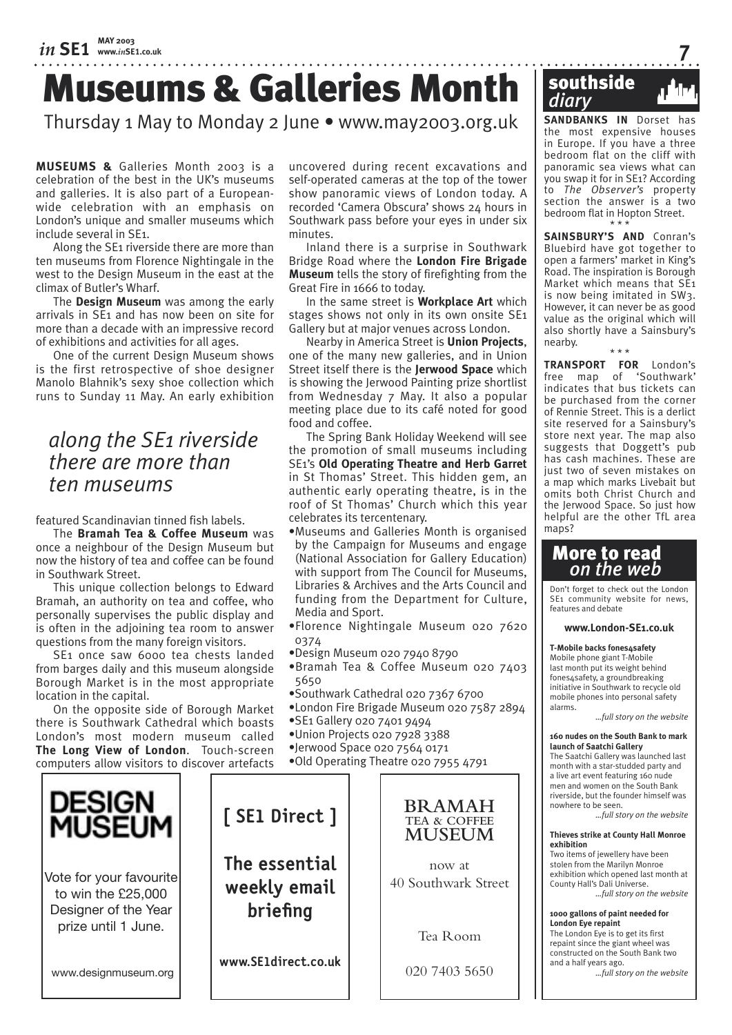# Museums & Galleries Month

# Thursday 1 May to Monday 2 June • www.may2003.org.uk

**MUSEUMS &** Galleries Month 2003 is a celebration of the best in the UK's museums and galleries. It is also part of a Europeanwide celebration with an emphasis on London's unique and smaller museums which include several in SE1.

Along the SE1 riverside there are more than ten museums from Florence Nightingale in the west to the Design Museum in the east at the climax of Butler's Wharf.

The **Design Museum** was among the early arrivals in SE1 and has now been on site for more than a decade with an impressive record of exhibitions and activities for all ages.

One of the current Design Museum shows is the first retrospective of shoe designer Manolo Blahnik's sexy shoe collection which runs to Sunday 11 May. An early exhibition

# *along the SE1 riverside there are more than ten museums*

featured Scandinavian tinned fish labels.

The **Bramah Tea & Coffee Museum** was once a neighbour of the Design Museum but now the history of tea and coffee can be found in Southwark Street.

This unique collection belongs to Edward Bramah, an authority on tea and coffee, who personally supervises the public display and is often in the adjoining tea room to answer questions from the many foreign visitors.

SE1 once saw 6000 tea chests landed from barges daily and this museum alongside Borough Market is in the most appropriate location in the capital.

On the opposite side of Borough Market there is Southwark Cathedral which boasts London's most modern museum called **The Long View of London**. Touch-screen computers allow visitors to discover artefacts

uncovered during recent excavations and self-operated cameras at the top of the tower show panoramic views of London today. A recorded 'Camera Obscura' shows 24 hours in Southwark pass before your eyes in under six minutes.

Inland there is a surprise in Southwark Bridge Road where the **London Fire Brigade Museum** tells the story of firefighting from the Great Fire in 1666 to today.

In the same street is **Workplace Art** which stages shows not only in its own onsite SE1 Gallery but at major venues across London.

Nearby in America Street is **Union Projects**, one of the many new galleries, and in Union Street itself there is the **Jerwood Space** which is showing the Jerwood Painting prize shortlist from Wednesday 7 May. It also a popular meeting place due to its café noted for good food and coffee.

The Spring Bank Holiday Weekend will see the promotion of small museums including SE1's **Old Operating Theatre and Herb Garret** in St Thomas' Street. This hidden gem, an authentic early operating theatre, is in the roof of St Thomas' Church which this year celebrates its tercentenary.

•Museums and Galleries Month is organised by the Campaign for Museums and engage (National Association for Gallery Education) with support from The Council for Museums, Libraries & Archives and the Arts Council and funding from the Department for Culture, Media and Sport.

- •Florence Nightingale Museum 020 7620 0374
- •Design Museum 020 7940 8790
- •Bramah Tea & Coffee Museum 020 7403 5650
- •Southwark Cathedral 020 7367 6700
- •London Fire Brigade Museum 020 7587 2894 •SE1 Gallery 020 7401 9494
- •Union Projects 020 7928 3388
- 





**SANDBANKS IN** Dorset has the most expensive houses in Europe. If you have a three bedroom flat on the cliff with panoramic sea views what can you swap it for in SE1? According to *The Observer's* property section the answer is a two bedroom flat in Hopton Street.

\* \* \* **SAINSBURY'S AND** Conran's Bluebird have got together to open a farmers' market in King's Road. The inspiration is Borough Market which means that SE1 is now being imitated in SW3. However, it can never be as good value as the original which will also shortly have a Sainsbury's nearby. \* \* \*

**TRANSPORT FOR** London's free map of 'Southwark' indicates that bus tickets can be purchased from the corner of Rennie Street. This is a derlict site reserved for a Sainsbury's store next year. The map also suggests that Doggett's pub has cash machines. These are just two of seven mistakes on a map which marks Livebait but omits both Christ Church and the Jerwood Space. So just how helpful are the other TfL area  $m$ ans?

# More to read *on the web*

Don't forget to check out the London SE1 community website for news features and debate

**www.London-SE1.co.uk**

**T-Mobile backs fones4safety**  Mobile phone giant T-Mobile last month put its weight behind fones4safety, a groundbreaking initiative in Southwark to recycle old mobile phones into personal safety alarms.

*…full story on the website*

### **160 nudes on the South Bank to mark launch of Saatchi Gallery**

The Saatchi Gallery was launched last month with a star-studded party and a live art event featuring 160 nude men and women on the South Bank riverside, but the founder himself was nowhere to be seen.

*…full story on the website*

### **Thieves strike at County Hall Monroe exhibition**

Two items of jewellery have been stolen from the Marilyn Monroe exhibition which opened last month at County Hall's Dali Universe. *…full story on the website*

**1000 gallons of paint needed for London Eye repaint**  The London Eye is to get its first

repaint since the giant wheel was constructed on the South Bank two and a half years ago. *…full story on the website*